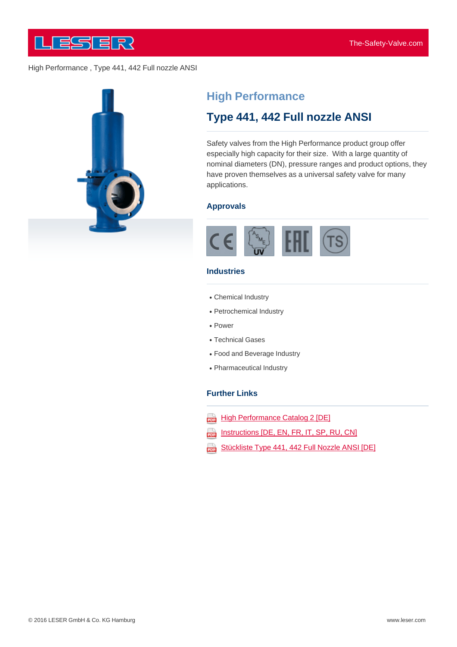

# **High Performance**

# **Type 441, 442 Full nozzle ANSI**

Safety valves from the High Performance product group offer especially high capacity for their size. With a large quantity of nominal diameters (DN), pressure ranges and product options, they have proven themselves as a universal safety valve for many applications.

#### **Approvals**



#### **Industries**

- Chemical Industry
- Petrochemical Industry
- Power
- Technical Gases
- Food and Beverage Industry
- Pharmaceutical Industry

#### **Further Links**

- **High Performance Catalog 2 [DE]** ana)
- Instructions [DE, EN, FR, IT, SP, RU, CN] 202
- Stückliste Type 441, 442 Full Nozzle ANSI [DE] ψ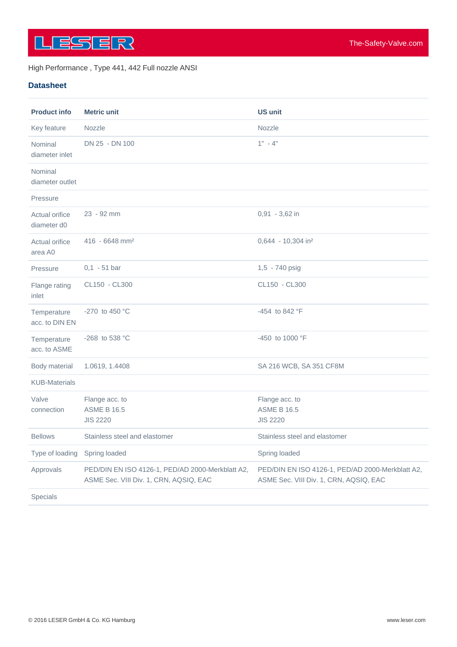

#### **Datasheet**

| <b>Product info</b>           | <b>Metric unit</b>                                                                         | <b>US unit</b>                                                                             |
|-------------------------------|--------------------------------------------------------------------------------------------|--------------------------------------------------------------------------------------------|
| Key feature                   | Nozzle                                                                                     | Nozzle                                                                                     |
| Nominal<br>diameter inlet     | DN 25 - DN 100                                                                             | $1" - 4"$                                                                                  |
| Nominal<br>diameter outlet    |                                                                                            |                                                                                            |
| Pressure                      |                                                                                            |                                                                                            |
| Actual orifice<br>diameter d0 | 23 - 92 mm                                                                                 | $0.91 - 3.62$ in                                                                           |
| Actual orifice<br>area A0     | $416 - 6648$ mm <sup>2</sup>                                                               | 0,644 - 10,304 in <sup>2</sup>                                                             |
| Pressure                      | $0,1 - 51$ bar                                                                             | 1,5 - 740 psig                                                                             |
| Flange rating<br>inlet        | CL150 - CL300                                                                              | CL150 - CL300                                                                              |
| Temperature<br>acc. to DIN EN | -270 to 450 $^{\circ}$ C                                                                   | -454 to 842 °F                                                                             |
| Temperature<br>acc. to ASME   | -268 to 538 °C                                                                             | -450 to 1000 °F                                                                            |
| Body material                 | 1.0619, 1.4408                                                                             | SA 216 WCB, SA 351 CF8M                                                                    |
| <b>KUB-Materials</b>          |                                                                                            |                                                                                            |
| Valve<br>connection           | Flange acc. to<br><b>ASME B 16.5</b><br><b>JIS 2220</b>                                    | Flange acc. to<br><b>ASME B 16.5</b><br><b>JIS 2220</b>                                    |
| <b>Bellows</b>                | Stainless steel and elastomer                                                              | Stainless steel and elastomer                                                              |
| Type of loading               | <b>Spring loaded</b>                                                                       | Spring loaded                                                                              |
| Approvals                     | PED/DIN EN ISO 4126-1, PED/AD 2000-Merkblatt A2,<br>ASME Sec. VIII Div. 1, CRN, AQSIQ, EAC | PED/DIN EN ISO 4126-1, PED/AD 2000-Merkblatt A2,<br>ASME Sec. VIII Div. 1, CRN, AQSIQ, EAC |
| Specials                      |                                                                                            |                                                                                            |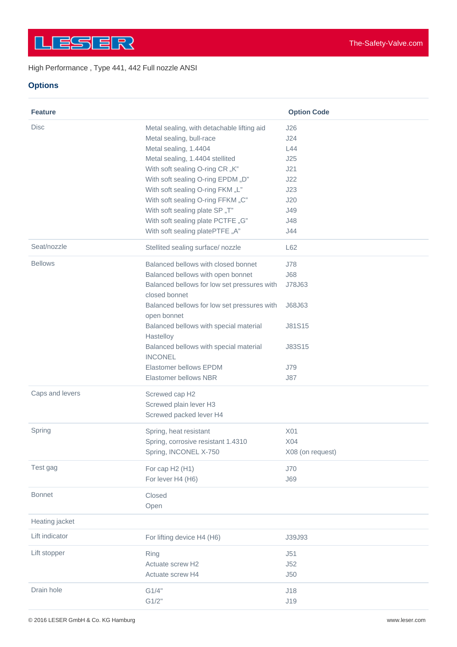## **Options**

| <b>Feature</b>  |                                                              | <b>Option Code</b> |
|-----------------|--------------------------------------------------------------|--------------------|
| Disc            | Metal sealing, with detachable lifting aid                   | J26                |
|                 | Metal sealing, bull-race                                     | J24                |
|                 | Metal sealing, 1.4404                                        | L44                |
|                 | Metal sealing, 1.4404 stellited                              | J25                |
|                 | With soft sealing O-ring CR "K"                              | J21                |
|                 | With soft sealing O-ring EPDM "D"                            | J22                |
|                 | With soft sealing O-ring FKM "L"                             | J23                |
|                 | With soft sealing O-ring FFKM "C"                            | J20                |
|                 | With soft sealing plate SP "T"                               | J49                |
|                 | With soft sealing plate PCTFE "G"                            | J48                |
|                 | With soft sealing platePTFE "A"                              | J44                |
| Seat/nozzle     | Stellited sealing surface/nozzle                             | L62                |
| <b>Bellows</b>  | Balanced bellows with closed bonnet                          | J78                |
|                 | Balanced bellows with open bonnet                            | <b>J68</b>         |
|                 | Balanced bellows for low set pressures with<br>closed bonnet | J78J63             |
|                 | Balanced bellows for low set pressures with                  | J68J63             |
|                 | open bonnet                                                  |                    |
|                 | Balanced bellows with special material                       | J81S15             |
|                 | Hastelloy<br>Balanced bellows with special material          | J83S15             |
|                 | <b>INCONEL</b>                                               |                    |
|                 | Elastomer bellows EPDM                                       | <b>J79</b>         |
|                 | Elastomer bellows NBR                                        | <b>J87</b>         |
| Caps and levers | Screwed cap H2                                               |                    |
|                 | Screwed plain lever H3                                       |                    |
|                 | Screwed packed lever H4                                      |                    |
| Spring          | Spring, heat resistant                                       | X01                |
|                 | Spring, corrosive resistant 1.4310                           | X04                |
|                 | Spring, INCONEL X-750                                        | X08 (on request)   |
| Test gag        | For cap H2 (H1)                                              | J70                |
|                 | For lever H4 (H6)                                            | <b>J69</b>         |
| <b>Bonnet</b>   | Closed                                                       |                    |
|                 | Open                                                         |                    |
| Heating jacket  |                                                              |                    |
| Lift indicator  | For lifting device H4 (H6)                                   | J39J93             |
| Lift stopper    | Ring                                                         | J51                |
|                 | Actuate screw H2                                             | J52                |
|                 | Actuate screw H4                                             | J50                |
| Drain hole      | G1/4"                                                        | J18                |
|                 | G1/2"                                                        | J19                |